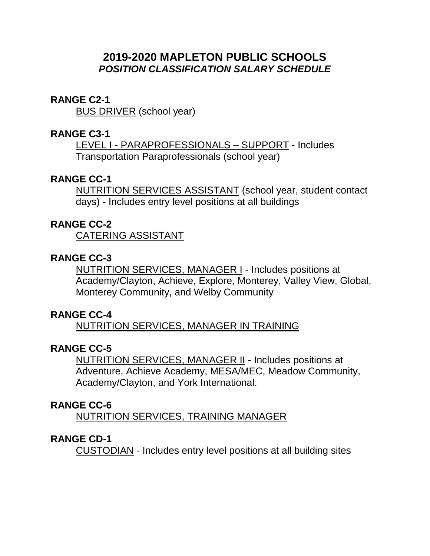# **2019-2020 MAPLETON PUBLIC SCHOOLS** *POSITION CLASSIFICATION SALARY SCHEDULE*

### **RANGE C2-1**

BUS DRIVER (school year)

## **RANGE C3-1**

LEVEL I - PARAPROFESSIONALS – SUPPORT - Includes Transportation Paraprofessionals (school year)

## **RANGE CC-1**

NUTRITION SERVICES ASSISTANT (school year, student contact days) - Includes entry level positions at all buildings

### **RANGE CC-2**

CATERING ASSISTANT

## **RANGE CC-3**

NUTRITION SERVICES, MANAGER I - Includes positions at Academy/Clayton, Achieve, Explore, Monterey, Valley View, Global, Monterey Community, and Welby Community

## **RANGE CC-4**

NUTRITION SERVICES, MANAGER IN TRAINING

## **RANGE CC-5**

NUTRITION SERVICES, MANAGER II - Includes positions at Adventure, Achieve Academy, MESA/MEC, Meadow Community, Academy/Clayton, and York International.

### **RANGE CC-6**

NUTRITION SERVICES, TRAINING MANAGER

### **RANGE CD-1**

CUSTODIAN - Includes entry level positions at all building sites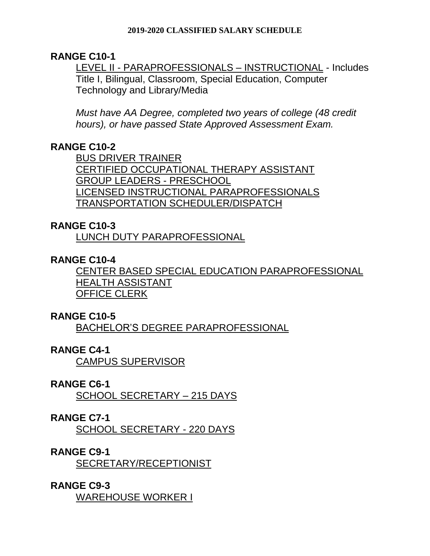## **RANGE C10-1**

LEVEL II - PARAPROFESSIONALS – INSTRUCTIONAL - Includes Title I, Bilingual, Classroom, Special Education, Computer Technology and Library/Media

*Must have AA Degree, completed two years of college (48 credit hours), or have passed State Approved Assessment Exam.* 

## **RANGE C10-2**

BUS DRIVER TRAINER CERTIFIED OCCUPATIONAL THERAPY ASSISTANT GROUP LEADERS - PRESCHOOL LICENSED INSTRUCTIONAL PARAPROFESSIONALS TRANSPORTATION SCHEDULER/DISPATCH

## **RANGE C10-3**

LUNCH DUTY PARAPROFESSIONAL

## **RANGE C10-4**

CENTER BASED SPECIAL EDUCATION PARAPROFESSIONAL HEALTH ASSISTANT OFFICE CLERK

## **RANGE C10-5**

BACHELOR'S DEGREE PARAPROFESSIONAL

## **RANGE C4-1**

CAMPUS SUPERVISOR

## **RANGE C6-1**

SCHOOL SECRETARY – 215 DAYS

## **RANGE C7-1**

SCHOOL SECRETARY - 220 DAYS

## **RANGE C9-1**

SECRETARY/RECEPTIONIST

## **RANGE C9-3**

WAREHOUSE WORKER I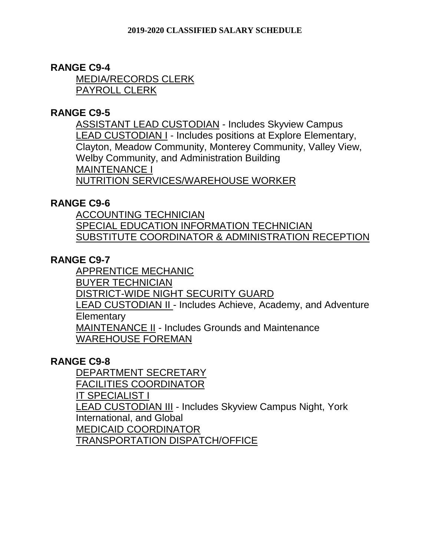# **RANGE C9-4**

MEDIA/RECORDS CLERK PAYROLL CLERK

# **RANGE C9-5**

ASSISTANT LEAD CUSTODIAN - Includes Skyview Campus LEAD CUSTODIAN I - Includes positions at Explore Elementary, Clayton, Meadow Community, Monterey Community, Valley View, Welby Community, and Administration Building MAINTENANCE I NUTRITION SERVICES/WAREHOUSE WORKER

# **RANGE C9-6**

ACCOUNTING TECHNICIAN SPECIAL EDUCATION INFORMATION TECHNICIAN SUBSTITUTE COORDINATOR & ADMINISTRATION RECEPTION

# **RANGE C9-7**

APPRENTICE MECHANIC BUYER TECHNICIAN DISTRICT-WIDE NIGHT SECURITY GUARD LEAD CUSTODIAN II - Includes Achieve, Academy, and Adventure **Elementary** MAINTENANCE II - Includes Grounds and Maintenance WAREHOUSE FOREMAN

## **RANGE C9-8**

DEPARTMENT SECRETARY FACILITIES COORDINATOR IT SPECIALIST I LEAD CUSTODIAN III - Includes Skyview Campus Night, York International, and Global MEDICAID COORDINATOR TRANSPORTATION DISPATCH/OFFICE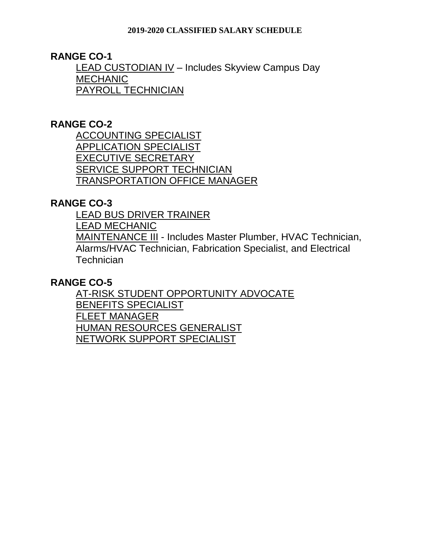**RANGE CO-1**

LEAD CUSTODIAN I $V$  – Includes Skyview Campus Day</u> **MECHANIC** PAYROLL TECHNICIAN

## **RANGE CO-2**

ACCOUNTING SPECIALIST APPLICATION SPECIALIST EXECUTIVE SECRETARY SERVICE SUPPORT TECHNICIAN TRANSPORTATION OFFICE MANAGER

### **RANGE CO-3**

LEAD BUS DRIVER TRAINER

LEAD MECHANIC

MAINTENANCE III - Includes Master Plumber, HVAC Technician, Alarms/HVAC Technician, Fabrication Specialist, and Electrical **Technician** 

### **RANGE CO-5**

AT-RISK STUDENT OPPORTUNITY ADVOCATE BENEFITS SPECIALIST FLEET MANAGER HUMAN RESOURCES GENERALIST NETWORK SUPPORT SPECIALIST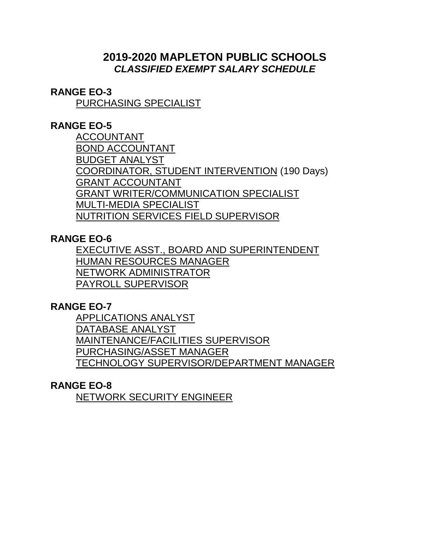# **2019-2020 MAPLETON PUBLIC SCHOOLS** *CLASSIFIED EXEMPT SALARY SCHEDULE*

## **RANGE EO-3**

PURCHASING SPECIALIST

## **RANGE EO-5**

ACCOUNTANT BOND ACCOUNTANT BUDGET ANALYST COORDINATOR, STUDENT INTERVENTION (190 Days) GRANT ACCOUNTANT GRANT WRITER/COMMUNICATION SPECIALIST MULTI-MEDIA SPECIALIST NUTRITION SERVICES FIELD SUPERVISOR

## **RANGE EO-6**

EXECUTIVE ASST., BOARD AND SUPERINTENDENT HUMAN RESOURCES MANAGER NETWORK ADMINISTRATOR PAYROLL SUPERVISOR

## **RANGE EO-7**

APPLICATIONS ANALYST DATABASE ANALYST MAINTENANCE/FACILITIES SUPERVISOR PURCHASING/ASSET MANAGER TECHNOLOGY SUPERVISOR/DEPARTMENT MANAGER

## **RANGE EO-8**

NETWORK SECURITY ENGINEER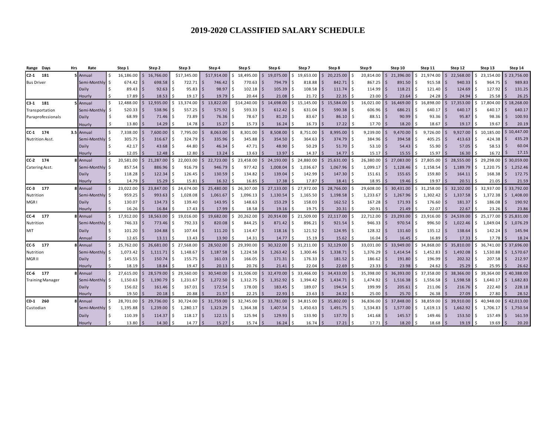| Days<br>Range           | Hrs | Rate            |                    | Step 1      |                    | Step 2    |   | Step 3      | Step 4      |            | Step 5          |                     | Step 6    | Step 7                      |          | Step 8    |               | Step 9    |              | Step 10   |         | Step 11         |      | Step 12   |     | Step 13        |      | Step 14     |
|-------------------------|-----|-----------------|--------------------|-------------|--------------------|-----------|---|-------------|-------------|------------|-----------------|---------------------|-----------|-----------------------------|----------|-----------|---------------|-----------|--------------|-----------|---------|-----------------|------|-----------|-----|----------------|------|-------------|
| 181<br>$C2-1$           |     | 5 Annual        | Ŝ.                 | 16.186.00   | $\mathsf{\hat{S}}$ | 16,766.00 |   | \$17,345.00 | \$17,914.00 |            | 18,495.00       |                     | 19,075.00 | ς<br>19.653.00              |          | 20.225.00 | Ś             | 20.814.00 |              | 21,396.00 |         | \$21.974.00     |      | 22.568.00 |     | 23.154.00      |      | 23.756.00   |
| <b>Bus Driver</b>       |     | Semi-Monthly    | - Ś                | 674.42      | ا \$               | 698.58    |   | 722.71      |             | 746.42     | 770.63          | - S                 | 794.79    | 818.88                      | <b>S</b> | 842.71    | l \$          | 867.25    |              | 891.50    |         | $915.58$ \$     |      | 940.33    |     | 964.75         | l \$ | 989.83      |
|                         |     | Daily           | Ŝ.                 | 89.43       | 5                  | 92.63     |   | 95.83       |             | 98.97      | 102.18<br>Ŝ.    |                     | 105.39    | 108.58                      | I S      | 111.74    | Ŝ.            | 114.99    |              | 118.21    |         | 121.40          | l S  | 124.69    |     | 127.92         | l S  | 131.25      |
|                         |     | Hourly          | Ŝ.                 | 17.89       |                    | 18.53     |   | 19.17       |             | 19.79      | 20.44           |                     | 21.08     | 21.72                       | <b>S</b> | 22.35     | Ś             | 23.00     |              | 23.64     |         | 24.28           |      | 24.94     |     | 25.58          |      | 26.25       |
| $C3-1$ 181              |     | 5 Annual        | $\mathsf{\hat{S}}$ | 12,488.00   | <sup>5</sup>       | 12,935.00 |   | 13,374.00   |             | 13,822.00  | \$14,240.00     | $\zeta$             | 14,698.00 | 15,145.00<br>ς.             | Ŝ.       | 15,584.00 | Ŝ.            | 16,021.00 | Ś            | 16,469.00 |         | $$16,898.00$ \$ |      | 17,353.00 | ς.  | ,804.00<br>17  | I S  | 18,268.00   |
| Transportation          |     | Semi-Monthly    | Ŝ.                 | 520.33      | l \$               | 538.96    |   | 557.25      |             | 575.92     | 593.33<br>-S    | -S                  | 612.42    | 631.04                      | -S       | 590.38    | <sup>\$</sup> | 606.96    |              | 686.21    |         | $640.17$ \$     |      | 640.17    |     | 640.17         | I \$ | 640.17      |
| Paraprofessionals       |     | Daily           | Ŝ.                 | 68.99       | l S                | 71.46     |   | 73.89       |             | 76.36      | 78.67<br>Ś      | - S                 | 81.20     | 83.67                       | <b>S</b> | 86.10     | \$            | 88.51     |              | 90.99     |         | $93.36$ \$      |      | 95.87     |     | 98.36          | l \$ | 100.93      |
|                         |     | Hourly          | \$                 | 13.80       |                    | 14.29     |   | 14.78       |             | 15.27      | 15.73<br>S      |                     | 16.24     | 16.73                       | IS.      | 17.22     | \$            | 17.70     |              | 18.20     |         | 18.67           | l S  | 19.17     |     | 19.67          | - S  | 20.19       |
| CC-1 174                |     | 3.5 Annual      | \$                 | 7,338.00    | $\mathsf{S}$       | 7,600.00  |   | 7,795.00    |             | 8,063.00   | 8,301.00        | $\breve{\varsigma}$ | 8,508.00  | ¢<br>8,751.00               | $\leq$   | 8,995.00  | <sup>\$</sup> | 9,239.00  | \$           | 9,470.00  | \$      | 9,726.00        | l \$ | 9,927.00  | \$  | 10,185.00      | I S  | 10,447.00   |
| Nutrition Asst.         |     | Semi-Monthly    | Ŝ.                 | $305.75$ \$ |                    | 316.67    |   | 324.79      |             | 335.96     | 345.88<br>.S    | - S                 | 354.50    | 364.63                      | l \$     | 374.79    | l \$          | 384.96    |              | 394.58    |         | $405.25$ \$     |      | 413.63    | ∣ < | $424.38$ \$    |      | 435.29      |
|                         |     | Daily           | Ŝ.                 | $42.17$ \$  |                    | 43.68     |   | 44.80       |             | $46.34$ \$ | $47.71$ \$      |                     | 48.90     | $50.29$ \$                  |          | 51.70     | l \$          | 53.10     |              | 54.43     | Ŝ.      | $55.90$ \$      |      | 57.05     | ۱Ś  | $58.53$ \$     |      | 60.04       |
|                         |     | Hourly          | Ŝ.                 | 12.05       |                    | 12.48     |   | 12.80       |             | 13.24      | 13.63           | ∫ <                 | 13.97     | 14.37                       | l \$     | 14.77     | Ś,            | 15.17     |              | 15.55     |         | 15.97           |      | 16.30     |     | 16.72          | I \$ | 17.15       |
| CC-2 174                |     | <b>8</b> Annual | \$.                | 20,581.00   | Ŝ.                 | 21,287.00 |   | 22,003.00   |             | 22,723.00  | 23,458.00<br>Ŝ. |                     | 24,193.00 | 24,880.00<br>ς.             |          | 25,631.00 | \$            | 26,380.00 |              | 27,083.00 | Ŝ.      | 27,805.00       |      | 28,555.00 | ς.  | 29,298.00      | IS.  | 30,059.00   |
| Catering Asst.          |     | Semi-Monthly    | Ŝ.                 | 857.54      | -Ś                 | 886.96    |   | 916.79      |             | 946.79     | 977.42<br>Ŝ.    | -Ś                  | 1,008.04  | Ŝ.<br>1,036.67              | S.       | 1,067.96  | Ŝ.            | 1,099.17  |              | 1,128.46  |         | $1,158.54$ \$   |      | 1,189.79  | Ś   | 1,220.75       | I \$ | 1,252.46    |
|                         |     | Daily           | Ŝ.                 | 118.28      | l \$               | 122.34    |   | 126.45      |             | 130.59     | 134.82<br>5 ا   | - S                 | 139.04    | $\hat{\varsigma}$<br>142.99 | S.       | 147.30    | Ŝ.            | 151.61    |              | 155.65    | $\zeta$ | 159.80          | l S  | 164.11    |     | 168.38         | l \$ | 172.75      |
|                         |     | Hourly          | Ŝ.                 | 14.79       |                    | 15.29     |   | 15.81       |             | 16.32      | 16.85           |                     | 17.38     | 17.87                       | l \$     | 18.41     | Ś             | 18.95     |              | 19.46     |         | 19.97           |      | 20.51     |     | 21.05          | l \$ | 21.59       |
| $CC-3$ 177              |     | <b>B</b> Annual | \$.                | 23,022.00   | Ŝ.                 | 23,847.00 |   | 24,674.00   |             | 25,480.00  | 26,307.00<br>Ŝ. | $\varsigma$         | 27,133.00 | 27,972.00<br>ς.             |          | 28,766.00 |               | 29,608.00 |              | 30,431.00 | Ŝ.      | 31,258.00       |      | 32,102.00 |     | 32.937.00      |      | \$33,792.00 |
| Nutrition               |     | Semi-Monthly    | Ŝ.                 | 959.25      | .\$                | 993.63    |   | 1,028.08    |             | 1,061.67   | 1,096.13<br>Ŝ.  | -S                  | 1,130.54  | Ś<br>1,165.50               | S.       | 1,198.58  | Ś             | 1,233.67  |              | 1,267.96  |         | 1,302.42        | l S  | 1,337.58  |     | 1,372.38       | I S  | 1,408.00    |
| MGR1                    |     | Daily           | Ŝ.                 | 130.07      | 15                 | 134.73    |   | 139.40      |             | 143.95     | 148.63<br>-\$   |                     | 153.29    | 158.03                      | <b>S</b> | 162.52    | . \$          | 167.28    |              | 171.93    |         | 176.60          | l S  | 181.37    |     | 186.08         | I\$  | 190.92      |
|                         |     | Hourly          | Ŝ.                 | 16.26       |                    | 16.84     |   | 17.43       |             | 17.99      | 18.58           | ∫ <                 | 19.16     | $19.75$ \$                  |          | 20.31     | Ŝ.            | 20.91     |              | 21.49     |         | 22.07           |      | 22.67     |     | $23.26$ \$     |      | 23.86       |
| CC-4 177                |     | <b>8</b> Annual | \$.                | 17,912.00   |                    | 18,563.00 |   | 19,016.00   | I S         | 19,682.00  | 20,262.00<br>Ŝ. | $\varsigma$         | 20,914.00 | 21,509.00<br>ς.             | S.       | 22,117.00 | Ŝ.            | 22,712.00 | ς            | 23,293.00 | Ŝ.      | 23,916.00       |      | 24,539.00 | ς   | 25.177.00      |      | \$25,831.00 |
| Nutrition               |     | Semi-Monthly    | Ŝ.                 | 746.33      |                    | 773.46    |   | 792.33      |             | 820.08     | 844.25          |                     | 871.42    | 896.21                      | -S       | 921.54    | Ŝ.            | 946.33    |              | 970.54    |         | 996.50          | l S  | 1,022.46  |     | 1,049.04       | I \$ | 1,076.29    |
| MIT                     |     | Daily           | Ŝ.                 | 101.20      | -Ś                 | 104.88    |   | 107.44      |             | 111.20     | 114.47<br>I \$  | - S                 | 118.16    | 121.52                      |          | 124.95    | <sup>\$</sup> | 128.32    |              | 131.60    |         | 135.12          | l S  | 138.64    |     | 142.24         | l \$ | 145.94      |
|                         |     | Annual          | Ŝ.                 | 12.65       |                    | 13.11     |   | 13.43       |             | 13.90      | 14.31           |                     | 14.77     | 15.19                       |          | 15.62     |               | 16.04     |              | 16.45     |         | 16.89           |      | 17.33     |     | 17.78          | l S  | 18.24       |
| CC-5 177                |     | <b>Annual</b>   | $\mathsf{\hat{S}}$ | 25.762.00   |                    | 26,681.00 |   | 27,568.00   |             | 28,502.00  | 29,390.00<br>S. | .S                  | 30.322.00 | 31.211.00<br>Ś              |          | 32,129.00 | Ś             | 33.031.00 |              | 33.949.00 | Ŝ.      | 34.868.00       |      | 35,810.00 |     | 36.741.00      |      | 37.696.00   |
| Nutrition               |     | Semi-Monthly    | Ŝ.                 | 1,073.42    | S.                 | 1,111.71  |   | 1,148.67    |             | 1,187.58   | 1,224.58<br>-S  | -S                  | 1,263.42  | -Ś<br>1,300.46              | IS.      | 1,338.71  | Ŝ.            | 1,376.29  | <sub>S</sub> | 1,414.54  | Ŝ.      | 1,452.83        | l S  | 1,492.08  | S   | 1.530.88       | I S  | 1,570.67    |
| MGR II                  |     | Daily           | Ŝ.                 | 145.55      | l \$               | 150.74    |   | 155.75      |             | 161.03     | 166.05<br>-\$   | - S                 | 171.31    | 176.33                      | <b>S</b> | 181.52    | \$            | 186.62    |              | 191.80    |         | 196.99          | l S  | 202.32    |     | 207.58         | l \$ | 212.97      |
|                         |     | Hourly          | Ŝ.                 | 18.19       |                    | 18.84     |   | 19.47       |             | 20.13      | 20.76           |                     | 21.41     | 22.04                       |          | 22.69     |               | 23.33     |              | 23.98     |         | 24.62           |      | 25.29     |     | 25.95          | I S  | 26.62       |
| CC-6 177                |     | 8 Annual        | \$.                | 27.615.00   |                    | 28,579.00 |   | 29,560.00   |             | 30,540.00  | 31,506.00<br>S. | $\varsigma$         | 32.470.00 | 33,466.00                   | S.       | 34,433.00 | Ŝ             | 35,398.00 |              | 36,393.00 | ς.      | 37.358.00       |      | 38,366.00 |     | 39.364.00      | I S  | 40,388.00   |
| <b>Training Manager</b> |     | Semi-Monthly    | Ŝ.                 | 1,150.63    | S.                 | 1,190.79  |   | 1,231.67    |             | 1,272.50   | \$<br>1,312.75  | -Ś                  | 1,352.92  | Ŝ.<br>1,394.42              | l S      | 1,434.71  | l \$          | 1,474.92  | <sub>S</sub> | 1,516.38  | Ŝ.      | $1,556.58$ \ \$ |      | 1,598.58  | Ŝ   | 1,640.17       | I \$ | 1,682.83    |
|                         |     | Daily           | Ŝ.                 | 156.02      | S.                 | 161.46    |   | 167.01      |             | 172.54     | 178.00<br>Ŝ.    |                     | 183.45    | 189.07                      | l S      | 194.54    | Ŝ.            | 199.99    |              | 205.61    | Ŝ       | 211.06          | l S  | 216.76    |     | $222.40$ \$    |      | 228.18      |
|                         |     | Hourly          | Ŝ.                 | 19.50       |                    | 20.18     |   | 20.88       |             | 21.57      | 22.25           |                     | 22.93     | 23.63                       |          | 24.32     | Ŝ             | 25.00     |              | 25.70     |         | 26.38           |      | 27.09     |     | 27.80          | l \$ | 28.52       |
| CD-1 260                |     | 8 Annual        | \$.                | 28.701.00   | S.                 | 29,736.00 | S | 30,724.00   | l S         | 31,759.00  | 32,745.00<br>S. | -S                  | 33,781.00 | 34,815.00<br>Ŝ              | S.       | 35,802.00 | Ŝ.            | 36,836.00 | $\mathsf{S}$ | 37,848.00 | Ŝ.      | 38,859.00       |      | 39,910.00 | ς   | $40.948.00$ \$ |      | 42.013.00   |
| Custodian               |     | Semi-Monthly    | Ŝ.                 | 1,195.88    | \$                 | 1,239.00  | s | 1,280.17    |             | 1,323.29   | 1,364.38<br>S.  | -Ś                  | 1,407.54  | Ŝ.<br>1,450.63              | <b>S</b> | 1,491.75  | ۱\$           | 1,534.83  |              | 1,577.00  | Ŝ.      | $1,619.13$ \$   |      | 1,662.92  | Ŝ   | 1,706.17       | I\$  | 1,750.54    |
|                         |     | Daily           |                    | 110.39      | -Ś                 | 114.37    |   | 118.17      |             | 122.15     | 125.94<br>-S    | - S                 | 129.93    | 133.90                      | -S       | 137.70    | Ŝ             | 141.68    |              | 145.57    |         | 149.46          | l S  | 153.50    |     | 157.49         | l \$ | 161.59      |
|                         |     | Hourly          |                    | 13.80       |                    | 14.30     |   | 14.77       |             | 15.27      | 15.74           | - S                 | 16.24     | $16.74$ \$                  |          | 17.21     |               | 17.71     |              | 18.20     |         | $18.68$ \$      |      | 19.19     | -Ś  | $19.69$ \$     |      | 20.20       |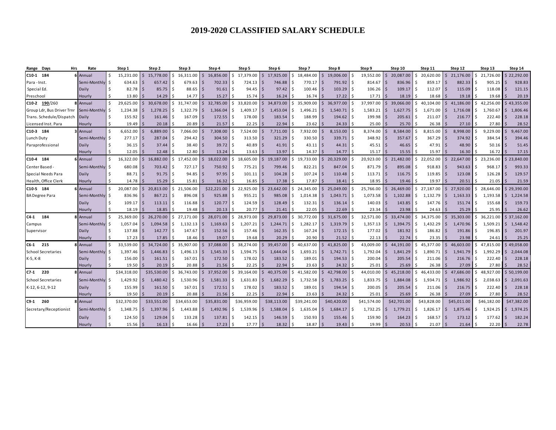| Days<br>Hrs<br>Range       | Rate            |     | Step 1      |              | Step 2      |    | Step 3      | Step 4      |     | Step 5      |             | Step 6      |      | Step 7      |               | Step 8      |            | Step 9      |              | Step 10     |     | Step 11       |      | Step 12     |      | Step 13       |              | Step 14     |
|----------------------------|-----------------|-----|-------------|--------------|-------------|----|-------------|-------------|-----|-------------|-------------|-------------|------|-------------|---------------|-------------|------------|-------------|--------------|-------------|-----|---------------|------|-------------|------|---------------|--------------|-------------|
| C10-1 184                  | 6 Annual        | Ŝ.  | 15.231.00   |              | 15,778.00   |    | 16.311.00   | 16,856.00   |     | 17,379.00   | Ś           | 17,925.00   |      | 18.484.00   |               | 19,006.00   | Ś          | 19,552.00   |              | 20,087.00   | ς.  | 20,620.00     |      | 21,176.00   |      | 21,726.00     |              | 22,292.00   |
| Para - Inst.               | Semi-Monthly    | Ŝ.  | 634.63      |              | 657.42      |    | 679.63      | 702.33      | -S  | 724.13      | - S         | 746.88      |      | 770.17      | l \$          | 791.92      | \$         | 814.67      |              | 836.96      |     | 859.17        | l S  | 882.33      |      | 905.25        | l \$         | 928.83      |
| Special Ed.                | Daily           | Ŝ.  | 82.78       | l S          | 85.75       |    | 88.65       | 91.61       | .S  | 94.45       | -S          | 97.42       |      | 100.46      | -Ś            | 103.29      | Ŝ          | 106.26      | .S           | 109.17      |     | 112.07        | l S  | 115.09      |      | 118.08        | l \$         | 121.15      |
| Preschool                  | Hourly          |     | 13.80       |              | 14.29       |    | 14.77       | 15.27       |     | 15.74       |             | 16.24       |      | 16.74       |               | 17.22       |            | 17.71       |              | 18.19       |     | 18.68         |      | 19.18       |      | 19.68         |              | 20.19       |
| C10-2 190/260              | 8 Annual        | \$. | 29,625.00   |              | 30,678.00   |    | 31,747.00   | 32,785.00   | Ŝ.  | 33,820.00   | Ŝ.          | 34,873.00   |      | 35,909.00   |               | 36,977.00   | Ś          | 37,997.00   |              | 39,066.00   | ς.  | 40.104.00     |      | 41,186.00   |      | 42,256.00     | I \$         | 43,355.00   |
| Group Ldr, Bus Driver Trnr | Semi-Monthly    | Ŝ.  | 1.234.38    | <sup>5</sup> | 1,278.25    |    | 1,322.79    | 1.366.04    | .s  | 1.409.17    | -Ś          | 1.453.04    | Ŝ.   | 1.496.21    | S.            | 1.540.71    | Ŝ.         | 1.583.21    | Ś            | 1.627.75    | Ŝ.  | 1.671.00      | l S  | 1,716.08    | ۱\$  | 1,760.67      | I \$         | 1,806.46    |
| Trans. Schedule/Dispatch   | Daily           | Ŝ.  | 155.92      | .\$          | 161.46      |    | 167.09      | 172.55      | -S  | 178.00      | - S         | 183.54      |      | 188.99      | -Ś            | 194.62      | Ŝ.         | 199.98      |              | 205.61      | Ŝ.  | 211.07        | l S  | 216.77      |      | 222.40        | l \$         | 228.18      |
| Licensed Inst. Para        | Hourly          | Ŝ.  | 19.49       |              | 20.18       |    | 20.89       | 21.57       |     | 22.25       |             | 22.94       |      | 23.62       |               | 24.33       | Ś          | 25.00       |              | 25.70       |     | 26.38         |      | 27.10       |      | 27.80         |              | 28.52       |
| C10-3 184                  | Annual          | \$. | 6,652.00    |              | 6,889.00    |    | 7,066.00    | 7,308.00    |     | 7,524.00    | .S          | 7,711.00    |      | 7,932.00    |               | 8,153.00    | Ś          | 8,374.00    |              | 8,584.00    |     | 8,815.00      |      | 8,998.00    |      | 9,229.00      | <b>S</b>     | 9,467.00    |
| Lunch Duty                 | Semi-Monthly    | Ŝ.  | 277.17      | -S           | 287.04      |    | 294.42      | 304.50      | -S  | 313.50      | - S         | 321.29      |      | 330.50      | -S            | 339.71      | Ŝ.         | 348.92      |              | 357.67      | Ŝ.  | $367.29$ S    |      | 374.92      |      | 384.54        | l \$         | 394.46      |
| Paraprofessional           | Daily           | Ŝ.  | 36.15       | Ŝ            | 37.44       |    | 38.40       | 39.72       |     | 40.89       |             | 41.91       |      | 43.11       |               | 44.31       | Ŝ.         | 45.51       |              | 46.65       |     | $47.91$ \$    |      | 48.90       |      | 50.16         | l \$         | 51.45       |
|                            | Hourly          | Ŝ.  | 12.05       |              | 12.48       |    | 12.80       | 13.24       |     | 13.63       |             | 13.97       |      | 14.37       |               | 14.77       | Ś          | 15.17       |              | 15.55       |     | 15.97         |      | 16.30       |      | 16.72         | Ŝ.           | 17.15       |
| C10-4 184                  | <b>5</b> Annual | \$. | 16,322.00   |              | 16,882.00   |    | 17,452.00   | 18,022.00   | Ŝ.  | 18,605.00   | Ŝ.          | 19,187.00   | Ś    | 19,733.00   | <sup>\$</sup> | 20,329.00   | Ś          | 20,923.00   | \$.          | 21,482.00   |     | \$22,052.00   | l S  | 22,647.00   | Ś    | 23,236.00     | I S          | 23,840.00   |
| Center Based               | Semi-Monthly    | Ŝ.  | 680.08      | l S          | 703.42      |    | 727.17      | 750.92      | -S  | 775.21      | - S         | 799.46      |      | 822.21      | l S           | 847.04      | Ŝ.         | 871.79      | <sub>S</sub> | 895.08      |     | $918.83$ \$   |      | 943.63      | l S  | 968.17        | l \$         | 993.33      |
| Special Needs Para         | Daily           | Ŝ.  | 88.71       | -Ś           | 91.75       |    | 94.85       | 97.95       | -S  | 101.11      | - S         | 104.28      |      | 107.24      | l S           | 110.48      | Ś.         | 113.71      | .S           | 116.75      | Ŝ.  | $119.85$ \$   |      | 123.08      | -S   | 126.28        | l \$         | 129.57      |
| Health, Office Clerk       | Hourly          | Ŝ.  | 14.78       |              | 15.29       |    | 15.81       | 16.32       |     | 16.85       |             | 17.38       |      | 17.87       |               | 18.41       | Ś          | 18.95       |              | 19.46       |     | 19.97         |      | 20.51       |      | 21.05         | -Ś           | 21.59       |
| C10-5 184                  | 6 Annual        | Ŝ.  | 20.087.00   | \$.          | 20,813.00   | Ś. | 21,506.00   | \$22,221.00 | Ŝ.  | 22,925.00   | -Ś          | 23,642.00   | Ś    | 24.345.00   |               | 25,049.00   | Ŝ.         | 25,766.00   | ς            | 26,469.00   |     | \$27.187.00   |      | 27.920.00   | Ŝ.   | 28.646.00     | I S          | 29.390.00   |
| <b>BA Degree Para</b>      | Semi-Monthly    | Ŝ.  | 836.96      | -Ś           | 867.21      |    | 896.08      | 925.88      | -S  | 955.21      | l \$        | 985.08      | Ŝ.   | 1,014.38    | <b>S</b>      | 1,043.71    | l \$       | 1,073.58    | Ś            | 1,102.88    | ς.  | $1,132.79$ \$ |      | 1,163.33    | l \$ | $1,193.58$ \$ |              | 1,224.58    |
|                            | Daily           | Ŝ.  | 109.17      | IS.          | 113.11      |    | 116.88      | 120.77      | -Ś  | 124.59      | - S         | 128.49      |      | 132.31      | S.            | 136.14      | Ŝ.         | 140.03      |              | 143.85      | \$  | $147.76$ \$   |      | 151.74      | ١s   | 155.68        | l \$         | 159.73      |
|                            | Hourly          | Ŝ.  | 18.19       |              | 18.85       |    | 19.48       | 20.13       |     | 20.77       |             | 21.41       |      | 22.05       | $\leq$        | 22.69       |            | 23.34       |              | 23.98       |     | 24.63         |      | 25.29       |      | 25.95         | <b>S</b>     | 26.62       |
| C4-1 184                   | 8 Annual        | \$. | 25.369.00   |              | 26,270.00   | ς. | 27.171.00   | 28,071.00   |     | \$28,973.00 | $\varsigma$ | 29,873.00   | ς.   | 30,772.00   |               | 31,675.00   | \$         | 32.571.00   |              | 33,474.00   |     | \$34,375.00   |      | 35,303.00   | ς.   | 36.221.00     | -S           | 37,162.00   |
| Campus                     | Semi-Monthly    | Ŝ.  | 1.057.04    | Ŝ.           | 1.094.58    | Ś. | 1.132.13    | 1.169.63    | -S  | 1.207.21    | -Ś          | 1.244.71    | Ŝ.   | 1.282.17    | S.            | 1.319.79    | Ŝ.         | 1.357.13    | Ŝ.           | 1.394.75    | Ŝ.  | $1.432.29$ \$ |      | 1.470.96    | Ŝ.   | 1.509.21      | I \$         | 1,548.42    |
| Supervisor                 | Daily           | Ŝ.  | 137.88      | Ŝ.           | 142.77      |    | 147.67      | 152.56      | S.  | 157.46      | - S         | 162.35      | Š.   | 167.24      | S.            | 172.15      | Ŝ.         | 177.02      |              | 181.92      | Ŝ.  | $186.82$ \$   |      | 191.86      |      | $196.85$ \$   |              | 201.97      |
|                            | Hourly          | Ŝ.  | 17.23       |              | 17.85       |    | 18.46       | 19.07       |     | 19.68       |             | 20.29       |      | 20.90       | Ŝ.            | 21.52       | Ś          | 22.13       |              | 22.74       |     | 23.35         |      | 23.98       |      | 24.61         | <b>S</b>     | 25.25       |
| $C6-1$ 215                 | 8 Annual        | \$. | 33.539.00   |              | 34,724.00   | ς. | 35,907.00   | 37,088.00   | Ŝ.  | 38,274.00   | Ŝ.          | 39,457.00   | \$   | 40,637.00   |               | 41,825.00   | \$         | 43,009.00   |              | 44.191.00   | Ŝ.  | 45,377.00     |      | 46,603.00   | S.   | 47,815.00     |              | 49,058.00   |
| <b>School Secretaries</b>  | Semi-Monthly    | Ŝ.  | 1.397.46    | l \$         | 1.446.83    | Ś. | 1,496.13    | 1.545.33    | ۱Ś. | 1.594.75    | l \$        | 1.644.04    | Ŝ.   | 1,693.21    | S.            | 1,742.71    | Ŝ.         | 1.792.04    | Ś            | 1.841.29    | \$. | $1.890.71$ \$ |      | 1.941.79    | l \$ | 1.992.29      | I \$         | 2,044.08    |
| K-5, K-8                   | Daily           | Ŝ.  | 156.00      | Ŝ.           | 161.51      |    | 167.01      | 172.50      | -Ś  | 178.02      | - S         | 183.52      | - \$ | 189.01      | S.            | 194.53      | $\cdot$ \$ | 200.04      |              | 205.54      | \$  | $211.06$ \$   |      | 216.76      |      | 222.40        | -\$          | 228.18      |
|                            | Hourly          |     | 19.50       |              | 20.19       |    | 20.88       | 21.56       |     | 22.25       |             | 22.94       |      | 23.63       |               | 24.32       | Ś          | 25.01       |              | 25.69       |     | 26.38         |      | 27.09       |      | $27.80$ \$    |              | 28.52       |
| $C7-1$ 220                 | 8 Annual        |     | \$34,318.00 |              | \$35,530.00 | ς. | 36,743.00   | 37,952.00   | S.  | 39,164.00   | -S          | 40,375.00   | ς.   | 41,582.00   |               | 42,798.00   | \$         | 44,010.00   |              | 45,218.00   | \$  | 46,433.00     |      | 47,686.00   | ς.   | 48.927.00     | I S          | 50,199.00   |
| <b>School Secretaries</b>  | Semi-Monthly    | Ŝ.  | 1,429.92    | Ŝ.           | 1,480.42    |    | 1,530.96    | 1,581.33    | \$  | 1,631.83    | -Ś          | 1,682.29    | \$   | 1,732.58    | S.            | 1,783.25    | Ŝ.         | 1,833.75    | \$           | 1,884.08    |     | $1,934.71$ \$ |      | 1,986.92    |      | 2,038.63      | $\mathsf{S}$ | 2,091.63    |
| K-12, 6-12, 9-12           | Daily           | Ŝ.  | 155.99      |              | 161.50      |    | 167.01      | 172.51      | .s  | 178.02      |             | 183.52      |      | 189.01      | -S            | 194.54      | Ś          | 200.05      |              | 205.54      |     | 211.06        | l S  | 216.75      |      | 222.40        | l \$         | 228.18      |
|                            | Hourly          | Ŝ.  | 19.50       |              | 20.19       |    | 20.88       | 21.56       |     | 22.25       |             | 22.94       |      | 23.63       |               | 24.32       | \$         | 25.01       |              | 25.69       |     | 26.38         |      | 27.09       |      | 27.80         | I Ś          | 28.52       |
| $C9-1$ 260                 | <b>Annual</b>   |     | \$32,370.00 |              | \$33,551.00 |    | \$34,653.00 | \$35,831.00 |     | \$36,959.00 |             | \$38,113.00 |      | \$39,241.00 |               | \$40,420.00 |            | \$41,574.00 |              | \$42,701.00 |     | \$43,828.00   |      | \$45,011.00 |      | \$46,182.00   |              | \$47,382.00 |
| Secretary/Receptionist     | Semi-Monthly    | Ŝ.  | 1,348.75    | \$           | 1,397.96    | Ś. | 1,443.88    | 1,492.96    | \$  | 1,539.96    | -S          | 1,588.04    | Ŝ.   | 1,635.04    | S.            | 1,684.17    | \$         | 1,732.25    | Ŝ.           | 1,779.21    | Ŝ.  | 1,826.17      | l \$ | 1,875.46    | Ŝ.   | 1,924.25      | I \$         | 1,974.25    |
|                            | Daily           |     | 124.50      | -Ś           | 129.04      |    | 133.28      | 137.81      | -S  | 142.15      | - S         | 146.59      | Ŝ    | 150.93      | -S            | 155.46      | Ś.         | 159.90      |              | 164.23      | Ŝ   | 168.57        | l S  | 173.12      | l S  | 177.62        | l \$         | 182.24      |
|                            | Hourly          |     | 15.56       | -Ś           | 16.13       |    | 16.66       | 17.23       |     | 17.77       | -Ś          | 18.32       |      | $18.87$ \$  |               | 19.43       | Ś          | 19.99       |              | 20.53       |     | 21.07         |      | 21.64       |      | $22.20$ \$    |              | 22.78       |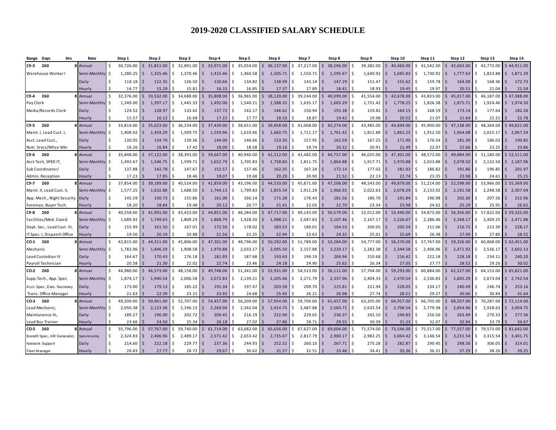| Days<br>Hrs<br>Range                      | Rate                    |          | Step 1             | Step 2                     |       | Step 3                   | Step 4               |          | Step 5                | Step 6             |                 | Step 7                  |                | Step 8                |    | Step 9             |               | Step 10            |    | Step 11            |     | Step 12            |            | Step 13            | Step 14                         |                 |
|-------------------------------------------|-------------------------|----------|--------------------|----------------------------|-------|--------------------------|----------------------|----------|-----------------------|--------------------|-----------------|-------------------------|----------------|-----------------------|----|--------------------|---------------|--------------------|----|--------------------|-----|--------------------|------------|--------------------|---------------------------------|-----------------|
| 260<br>C9-3                               | 8 Annual                | \$.      | 30,726.00          | 31,811.00<br>$\zeta$       |       | Ś.<br>32,891.00          | 33,971.00<br>Ŝ.      | Ŝ.       | 35,054.00             | Ŝ.                 | 36,137.00       | Ś<br>37,217.00          |                | 38,296.00             | \$ | 39,382.00          | $\zeta$       | 40,460.00          |    | \$41,542.00        |     | 42,663.00          | Ŝ.         | 43,773.00          | 44,911.00<br>$\mathsf{\hat{S}}$ |                 |
| Warehouse Worker I                        | Semi-Monthly            | \$       | 1,280.25           | \$<br>1,325.46             |       | Ś.<br>1,370.46           | - Ś<br>1,415.46      | \$       | 1,460.58              | -\$                | 1,505.71        | Ś.<br>1,550.71          | S.             | 1,595.67              | \$ | 1,640.92           | \$.           | 1,685.83           | Ś  | 1,730.92           | l S | $1,777.63$ \$      |            | 1,823.88           | $\zeta$<br>1,871.29             |                 |
|                                           | Daily                   | \$       | 118.18             | Ŝ.<br>122.35               |       | 126.50<br>Ŝ              | 130.66               | -Ś       | 134.82                | -Ś                 | 138.99          | Ś.<br>143.14            | 5              | 147.29                | \$ | 151.47             | Ś             | 155.62             |    | 159.78             |     | 164.09             | l S        | 168.36             | -Ś                              | 172.73          |
|                                           | Hourly                  | \$.      | 14.77              |                            | 15.29 | 15.81                    | 16.33                |          | 16.85                 |                    | 17.37           | 17.89                   |                | 18.41                 |    | 18.93              |               | 19.45              |    | 19.97              |     | 20.51              |            | 21.04              | \$                              | 21.59           |
| C9-4<br>260                               | 8 Annual                | Ś        | 32,376.00          | 33,532.00<br>\$.           |       | 34,688.00<br>Ś.          | 35,808.00<br>-Ś      | Ŝ.       | 36,965.00             | .s                 | 38,120.00       | Ś.<br>39,244.00         |                | 40,399.00             | Ś. | 41,554.00          | Ŝ.            | 42,678.00          | \$ | 43,833.00          |     | 45,017.00          | - Ś        | 46,187.00          | 47,388.00<br>$\varsigma$        |                 |
| Pay Clerk                                 | Semi-Monthly            | \$       | 1,349.00           | 1,397.17<br>Ŝ.             |       | 1,445.33<br>Ś.           | 1,492.00             | S.       | 1,540.21              | -\$                | 1,588.33        | Ś.<br>1,635.17          | S.             | 1,683.29              | Ŝ. | 1,731.42           | Ŝ.            | 1,778.25           |    | 1,826.38           |     | 1,875.71           | ۱\$        | 1,924.46           | $\zeta$<br>1,974.50             |                 |
| Media/Records Clerk                       | Daily                   | \$       | 124.52             | 128.97<br>\$               |       | 133.42<br>Ś              | 137.72               | Ŝ.       | 142.17                | - Ś                | 146.62          | Ś<br>150.94             | -S             | 155.38                | \$ | 159.82             | Ś             | 164.15             |    | 168.59             |     | 173.14             | ۱Ś         | 177.64             | $\zeta$                         | 182.26          |
|                                           | Hourly                  | Ŝ        | 15.57              | 16.12                      |       | 16.68                    | 17.22                |          | 17.77                 |                    | 18.33           | 18.87                   |                | 19.42                 |    | 19.98              |               | 20.52              |    | 21.07              |     | 21.64              |            | 22.21              | Ŝ                               | 22.78           |
| C9-5 260                                  | 8 Annual                | \$       | 33,814.00          | 35,023.00                  |       | 36,234.00<br>Ś.          | 37,439.00            | \$       | 38,651.00             | -Ś                 | 39,858.00       | Ś<br>41,068.00          |                | 42,274.00             | Ś  | 43,485.00          | Ś             | 44,694.00          | Ś  | 45,900.00          |     | 47,138.00          | \$         | 48,364.00          | 49,621.00<br>Ŝ                  |                 |
| Maint. I, Lead Cust. I,                   | Semi-Monthly            | \$       | 1,408.92           | 1,459.29<br>Ŝ.             |       | 1,509.75<br>Ś            | 1,559.96             | -\$      | 1,610.46              | -Ś                 | 1,660.75        | \$<br>1,711.17          | S.             | 1,761.42              | \$ | 1,811.88           | \$            | 1,862.25           |    | 1,912.50           |     | 1,964.08           | I\$        | 2,015.17           | 2,067.54<br>\$                  |                 |
| Asst. Lead Cust.,                         | Daily                   | \$       | 130.05             | \$<br>134.70               |       | 139.36<br>Ś              | 144.00               | .s       | 148.66                | -S                 | 153.30          | Ś.<br>157.95            | -\$            | 162.59                | \$ | 167.25             | Ś             | 171.90             |    | 176.54             |     | 181.30             |            | 186.02             | -Ś                              | 190.85          |
| Nutr. Srvcs/Whse Wkr                      | Hourly                  | \$.      | 16.26              | 16.84                      |       | 17.42                    | 18.00                |          | 18.58                 |                    | 19.16           | 19.74                   |                | 20.32                 |    | 20.91              |               | 21.49              |    | 22.07              |     | 22.66              |            | 23.25              |                                 | 23.86           |
| 260<br>C9-6                               | 8 Annual                | Ś        | 35,848.00          | 37,122.00                  |       | 38,393.00<br>Ś.          | 39,667.00            | S.       | 40,940.00             | .S                 | 42,212.00       | Ś<br>43,482.00          |                | 44,757.00             | Ś. | 46,025.00          | <sup>\$</sup> | 47,301.00          | Ś. | 48,573.00          |     | 49,884.00          | S.         | 51,180.00          | 52,511.00<br>Ŝ                  |                 |
| Acct Tech, SPED IT,                       | Semi-Monthly            | \$       | 1,493.67           | \$<br>1,546.75             |       | 1,599.71<br>Ś            | 1,652.79             | Ŝ.       | 1,705.83              | -Ś                 | 1,758.83        | Ś.<br>1,811.75          | S.             | 1,864.88              | \$ | 1,917.71           | \$            | 1,970.88           |    | 2,023.88           |     | 2,078.50           | ۱\$        | 2,132.50           | Ŝ.                              | 2,187.96        |
| Sub Coordinator/                          | Daily                   | \$       | 137.88             | 142.78<br>Ŝ                |       | 147.67<br>S              | 152.57               | S        | 157.46                | -S                 | 162.35          | 167.24<br>Ŝ             |                | 172.14                | \$ | 177.02             | \$            | 181.93             |    | 186.82             |     | 191.86             |            | 196.85             | Ŝ.                              | 201.97          |
| Admin. Reception                          | Hourly                  | Ś        | 17.23              |                            | 17.85 | 18.46                    | 19.07                |          | 19.68                 |                    | 20.29           | 20.90                   |                | 21.52                 | Ś  | 22.13              |               | 22.74              |    | 23.35              |     | 23.98              |            | 24.61              |                                 | 25.25           |
| 260<br>C9-7                               | 8 Annual                | \$       | 37,854.00          | 39,189.00                  |       | \$<br>40,524.00          | 41,859.00<br>-Ś      | Ŝ.       | 43,196.00             | Ŝ.                 | 44,533.00       | Ś<br>45,871.00          | $\zeta$        | 47,206.00             | Ŝ. | 48,543.00          | <sup>\$</sup> | 49,879.00          |    | \$51,214.00        |     | 52,598.00          | Ŝ.         | 53,966.00          | \$55,369.00                     |                 |
| Maint. II, Lead Cust. II,                 | Semi-Monthly            | \$       | 1,577.25           | 1,632.88<br>Ŝ.             |       | 1,688.50<br>Ś.           | 1,744.13             | Ŝ.       | 1,799.83              | -\$                | 1,855.54        | \$<br>1,911.29          | <b>S</b>       | 1,966.92              | \$ | 2,022.63           | \$            | 2,078.29           |    | 2,133.92           | IS. | 2,191.58           | I\$        | 2,248.58           | $\ddot{\phi}$<br>2,307.04       |                 |
| App. Mech., Night Security                | Daily                   | \$       | 145.59             | 150.73<br>Ŝ.               |       | 155.86<br>S              | 161.00               | S        | 166.14                | -Ś                 | 171.28          | Ś<br>176.43             | -S             | 181.56                | \$ | 186.70             | Ś             | 191.84             |    | 196.98             |     | 202.30             |            | 207.56             | -Ś                              | 212.96          |
| Foreman, Buyer Tech.                      | Hourly                  | \$       | 18.20              | 18.84                      |       | 19.48                    | 20.12                |          | 20.77                 | Ś                  | 21.41           | 22.05                   |                | 22.70                 |    | 23.34              |               | 23.98              |    | 24.62              |     | 25.29              |            | 25.95              | .S                              | 26.62           |
| 260<br>C9-8                               | 8 Annual                | \$       | 40,558.00          | 41,991.00                  |       | 43,423.00<br>Ś.          | 44,851.00            | Ŝ.       | 46,284.00             | Ś                  | 47,717.00       | 49,143.00<br>Ś          |                | 50,579.00             | Ś  | 52,012.00          | \$            | 53,440.00          | Ś. | 54,875.00          |     | 56,356.00          | Ŝ.         | 57,822.00          | \$59,325.00                     |                 |
| Facilities/Med. Coord.                    | Semi-Monthly            | \$       | 1,689.92           | 1,749.63<br>\$             |       | 1,809.29<br>Ś            | 1,868.79<br><b>S</b> | Ŝ.       | 1,928.50              | $\mathsf{\hat{S}}$ | 1,988.21        | Ś<br>2,047.63           | <b>S</b>       | 2,107.46              | \$ | 2,167.17           | \$            | 2,226.67           |    | 2,286.46           | I S | 2,348.17           | I۶         | 2,409.25           | $\zeta$                         | 2,471.88        |
| Dept. Sec., Lead Cust. III,               | Daily                   | \$       | 155.99             | Ŝ.<br>161.50               |       | 167.01<br>Ś              | 172.50<br>-S         | Ŝ.       | 178.02                | -\$                | 183.53          | Ŝ.<br>189.01            | S.             | 194.53                | \$ | 200.05             | Ś             | 205.54             |    | 211.06             | l S | 216.75             | l \$       | 222.39             | $\zeta$                         | 228.17          |
| IT Spec. I, Dispatch Office               | Hourly                  | Ś.       | 19.50              | 20.19                      |       | 20.88                    | 21.56                |          | 22.25                 |                    | 22.94           | 23.63                   |                | 24.32                 |    | 25.01              |               | 25.69              |    | 26.38              |     | 27.09              |            | 27.80              |                                 | 28.52           |
| $CO-1$ 260                                | Annual                  | Ś        | 42,815.00          | 44,311.00                  |       | 45,806.00<br>Ś           | 47,301.00            | S.       | 48,796.00             | Ŝ.                 | 50,292.00       | 51,789.00<br>Ś          |                | 53,284.00             | Ś  | 54,777.00          | \$.           | 56,270.00          | ς. | 57,767.00          |     | 59,326.00          | Ŝ.         | 60,868.00          | 62,451.00<br><sup>5</sup>       |                 |
| Mechanic                                  | Semi-Monthly            | \$       | 1,783.96           | \$<br>1,846.29             |       | 1,908.58<br>Ś            | 1,970.88             | Ŝ.       | 2,033.17              | -\$                | 2,095.50        | Ś<br>2,157.88           | S.             | 2,220.17              | Ś  | 2,282.38           | \$            | 2,344.58           |    | 2,406.96           |     | 2,471.92           | I\$        | 2,536.17           | $\zeta$<br>2,602.13             |                 |
| Lead Custodian IV                         | Daily                   | \$       | 164.67             | \$<br>170.43               |       | 176.18<br>Ś              | 181.93               | Ŝ.       | 187.68                | -Ś                 | 193.43          | 199.19<br>Ś             | S.             | 204.94                | \$ | 210.68             | Ś             | 216.42             |    | 222.18             |     | 228.18             |            | 234.11             | -\$                             | 240.20          |
| Payroll Technician                        | Hourly                  | \$       | 20.58              |                            | 21.30 | 22.02                    | 22.74                |          | 23.46                 |                    | 24.18           | 24.90                   |                | 25.62                 |    | 26.34              |               | 27.05              |    | 27.77              |     | 28.52              |            | 29.26              | Ŝ.                              | 30.02           |
| CO-2 260                                  | 8 Annual                | Ś        | 44,980.00          | 46,573.00<br><sup>\$</sup> |       | 48,158.00<br>Ŝ.          | 49,748.00<br>-S      | \$       | 51,341.00             | -Ś                 | 52,931.00       | Ŝ.<br>54,523.00         | S.             | 56,111.00             | \$ | 57,704.00          | Ŝ             | 59,293.00          | Ŝ. | 60,884.00          |     | 62,527.00          | -S         | 64,153.00          | 65,821.00<br>-S                 |                 |
| Supp.Tech., App. Spec.                    | Semi-Monthly            | \$       | 1,874.17           | 1,940.54<br>-S             |       | 2,006.58                 | 2,072.83             | \$       | 2,139.21              | -Ś                 | 2,205.46        | Ś.<br>2,271.79          | <b>S</b>       | 2,337.96              | Ŝ. | 2,404.33           | Ŝ             | 2,470.54           |    | 2,536.83           |     | 2,605.29           | l \$       | 2,673.04           | 2,742.54<br>\$                  |                 |
| Acct. Spec., Exec. Secretary              | Daily                   | \$       | 173.00             | 179.13<br>\$               |       | 185.22<br>S              | 191.34               | Ŝ.       | 197.47                | -Ś                 | 203.58          | 209.70<br>Ś.            | -\$            | 215.81                | \$ | 221.94             | Ś             | 228.05             |    | 234.17             |     | 240.49             | - S        | 246.74             | -Ś                              | 253.16          |
| Trans. Office Manager                     | Hourly                  | \$.      | 21.63              |                            | 22.39 | 23.15                    | 23.92                |          | 24.68                 |                    | 25.45           | 26.21                   |                | 26.98                 |    | 27.74              |               | 28.51              |    | 29.27              |     | 30.06              |            | 30.84              |                                 | 31.64           |
| CO-3<br>260                               | 8 Annual                | Ś        | 49,209.00          | 50,961.00<br><sup>\$</sup> |       | Ś.<br>52,707.00          | 54,457.00<br>S       | S.       | 56,209.00             | -Ś                 | 57,954.00       | Ś<br>59,709.00          | S.             | 61,457.00             | Ŝ. | 63,205.00          | Ŝ             | 64,957.00          | Ŝ. | 66,705.00          |     | 68,507.00          | Ŝ.         | 70,287.00          | \$72,114.00                     |                 |
| Lead Mechanic,                            | Semi-Monthly            | \$       | 2,050.38           | \$<br>2,123.38             |       | 2,196.13<br>Ś            | 2,269.04             | Ŝ.       | 2,342.04              | Ŝ.                 | 2,414.75        | \$<br>2,487.88          | l S            | 2,560.71              | \$ | 2,633.54           | \$            | 2,706.54           |    | 2,779.38           |     | 2,854.46           | I\$        | 2,928.63           | Ŝ.                              | 3,004.75        |
| Maintanence III,                          | Daily                   | \$<br>Ŝ. | 189.27             | \$<br>196.00               |       | 202.72                   | 209.45               | Ŝ        | 216.19                | -Ś                 | 222.90<br>27.86 | 229.65<br>Ś.            | -\$            | 236.37<br>29.55       | \$ | 243.10             | \$            | 249.83             |    | 256.56             |     | 263.49             |            | 270.33             | S.<br>Ŝ                         | 277.36<br>34.67 |
| Lead Bus Trainer                          | Hourly                  | Ś        | 23.66<br>55,796.00 | 24.50<br>57,767.00         |       | 25.34<br>59,740.00<br>Ś. | 26.18<br>61,714.00   |          | 27.02                 |                    | 65,656.00       | 28.71<br>67,627.00<br>Ś |                |                       | Ś. | 30.39<br>71,574.00 |               | 31.23<br>73,546.00 | Ś. | 32.07<br>75,517.00 |     | 32.94<br>77,557.00 |            | 33.79<br>79,573.00 | 81,642.00                       |                 |
| CO-5 260<br>Benefit Spec., HR Generalist, | Annual<br>Semi-M onthly | \$       | 2,324.83           | 2,406.96<br>Ŝ.             |       | 2,489.17<br>Ś            | 2,571.42             | S.<br>S. | 63,682.00<br>2,653.42 | .s<br>-\$          | 2,735.67        | \$<br>2,817.79          | S.<br><b>S</b> | 69,604.00<br>2,900.17 | Ś. | 2,982.25           | Ŝ<br>\$       | 3,064.42           | S  | 3,146.54           | -S  | 3,231.54           | I\$<br>I\$ | 3,315.54           | -\$<br>3,401.75<br>\$           |                 |
| Network Support                           | Daily                   | \$       | 214.60             | 222.18<br>Ŝ                |       | 229.77                   | 237.36               | .s       | 244.93                | -S                 | 252.52          | 260.10<br>Ŝ             | l \$           | 267.71                | Ś. | 275.28             | Ŝ             | 282.87             |    | 290.45             |     | 298.30             |            | 306.05             | -\$                             | 314.01          |
| Fleet M anager                            | Hourly                  | Ś        | 26.83              |                            | 27.77 | 28.72                    | 29.67                |          | 30.62                 |                    | 31.57           | 32.51                   |                | 33.46                 |    | 34.41              |               | 35.36              |    | 36.31              |     | 37.29              |            | 38.26              |                                 | 39.25           |
|                                           |                         |          |                    |                            |       |                          |                      |          |                       |                    |                 |                         |                |                       |    |                    |               |                    |    |                    |     |                    |            |                    |                                 |                 |